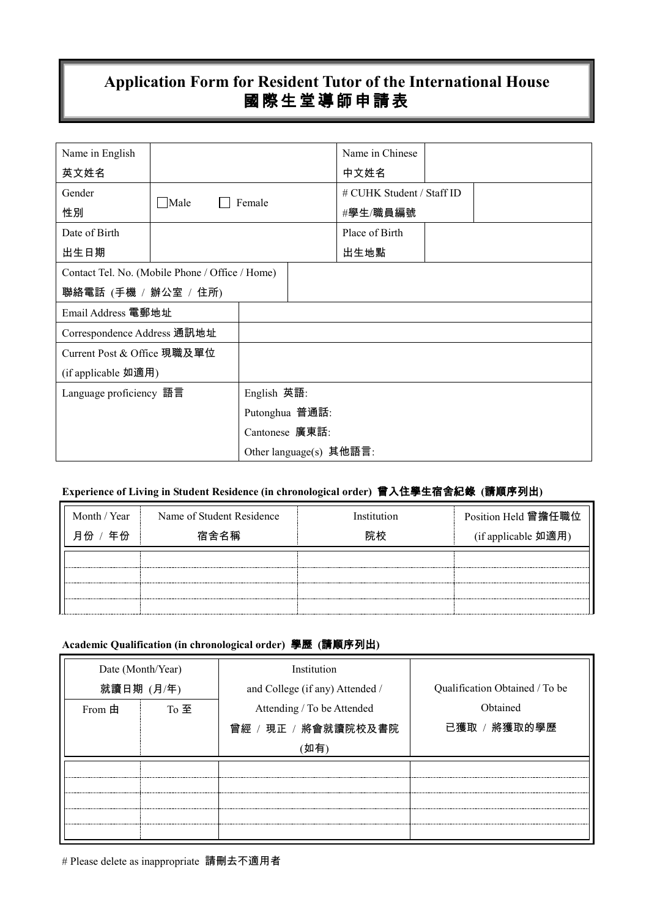# **Application Form for Resident Tutor of the International House** 國際生堂導師申請表

| Name in English                                 |                       |                |                            | Name in Chinese           |  |  |
|-------------------------------------------------|-----------------------|----------------|----------------------------|---------------------------|--|--|
| 英文姓名                                            |                       |                |                            | 中文姓名                      |  |  |
| Gender                                          |                       |                |                            | # CUHK Student / Staff ID |  |  |
| 性別                                              | $\Box$ Male<br>Female |                |                            | #學生/職員編號                  |  |  |
| Date of Birth                                   |                       |                |                            | Place of Birth            |  |  |
| 出生日期                                            |                       |                | 出生地點                       |                           |  |  |
| Contact Tel. No. (Mobile Phone / Office / Home) |                       |                |                            |                           |  |  |
| 聯絡電話 (手機 / 辦公室 / 住所)                            |                       |                |                            |                           |  |  |
| Email Address 電郵地址                              |                       |                |                            |                           |  |  |
| Correspondence Address 通訊地址                     |                       |                |                            |                           |  |  |
| Current Post & Office 現職及單位                     |                       |                |                            |                           |  |  |
| (if applicable 如適用)                             |                       |                |                            |                           |  |  |
| Language proficiency 語言                         |                       | English 英語:    |                            |                           |  |  |
|                                                 |                       |                | Putonghua 普通話:             |                           |  |  |
|                                                 |                       | Cantonese 廣東話: |                            |                           |  |  |
|                                                 |                       |                | Other language $(s)$ 其他語言: |                           |  |  |

# **Experience of Living in Student Residence (in chronological order)** 曾入住學生宿舍紀錄 **(**請順序列出**)**

| Month / Year | Name of Student Residence | Institution | Position Held 曾擔任職位 |
|--------------|---------------------------|-------------|---------------------|
| 年份<br>日<br>份 | 宿舍名稱                      | 院校          | (if applicable 如適用) |
|              |                           |             |                     |
|              |                           |             |                     |
|              |                           |             |                     |

# **Academic Qualification (in chronological order)** 學歷 **(**請順序列出**)**

| Date (Month/Year) |             | Institution                     | Qualification Obtained / To be |
|-------------------|-------------|---------------------------------|--------------------------------|
| 就讀日期 (月/年)        |             | and College (if any) Attended / |                                |
| From $\boxplus$   | $To \ncong$ | Attending / To be Attended      | Obtained                       |
|                   |             | 曾經 / 現正 / 將會就讀院校及書院             | 已獲取 / 將獲取的學歷                   |
|                   |             |                                 |                                |
|                   |             |                                 |                                |
|                   |             |                                 |                                |
|                   |             |                                 |                                |
|                   |             |                                 |                                |
|                   |             |                                 |                                |

# Please delete as inappropriate 請刪去不適用者